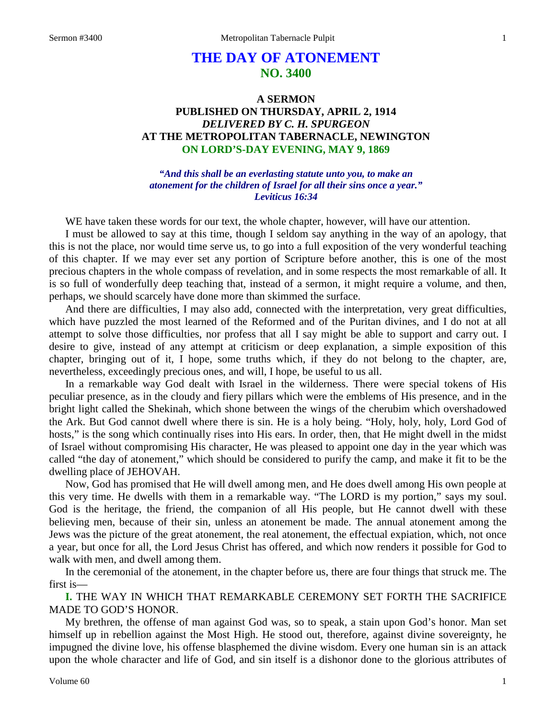# **THE DAY OF ATONEMENT NO. 3400**

## **A SERMON PUBLISHED ON THURSDAY, APRIL 2, 1914** *DELIVERED BY C. H. SPURGEON* **AT THE METROPOLITAN TABERNACLE, NEWINGTON ON LORD'S-DAY EVENING, MAY 9, 1869**

*"And this shall be an everlasting statute unto you, to make an atonement for the children of Israel for all their sins once a year." Leviticus 16:34*

WE have taken these words for our text, the whole chapter, however, will have our attention.

I must be allowed to say at this time, though I seldom say anything in the way of an apology, that this is not the place, nor would time serve us, to go into a full exposition of the very wonderful teaching of this chapter. If we may ever set any portion of Scripture before another, this is one of the most precious chapters in the whole compass of revelation, and in some respects the most remarkable of all. It is so full of wonderfully deep teaching that, instead of a sermon, it might require a volume, and then, perhaps, we should scarcely have done more than skimmed the surface.

And there are difficulties, I may also add, connected with the interpretation, very great difficulties, which have puzzled the most learned of the Reformed and of the Puritan divines, and I do not at all attempt to solve those difficulties, nor profess that all I say might be able to support and carry out. I desire to give, instead of any attempt at criticism or deep explanation, a simple exposition of this chapter, bringing out of it, I hope, some truths which, if they do not belong to the chapter, are, nevertheless, exceedingly precious ones, and will, I hope, be useful to us all.

In a remarkable way God dealt with Israel in the wilderness. There were special tokens of His peculiar presence, as in the cloudy and fiery pillars which were the emblems of His presence, and in the bright light called the Shekinah, which shone between the wings of the cherubim which overshadowed the Ark. But God cannot dwell where there is sin. He is a holy being. "Holy, holy, holy, Lord God of hosts," is the song which continually rises into His ears. In order, then, that He might dwell in the midst of Israel without compromising His character, He was pleased to appoint one day in the year which was called "the day of atonement," which should be considered to purify the camp, and make it fit to be the dwelling place of JEHOVAH.

Now, God has promised that He will dwell among men, and He does dwell among His own people at this very time. He dwells with them in a remarkable way. "The LORD is my portion," says my soul. God is the heritage, the friend, the companion of all His people, but He cannot dwell with these believing men, because of their sin, unless an atonement be made. The annual atonement among the Jews was the picture of the great atonement, the real atonement, the effectual expiation, which, not once a year, but once for all, the Lord Jesus Christ has offered, and which now renders it possible for God to walk with men, and dwell among them.

In the ceremonial of the atonement, in the chapter before us, there are four things that struck me. The first is—

**I.** THE WAY IN WHICH THAT REMARKABLE CEREMONY SET FORTH THE SACRIFICE MADE TO GOD'S HONOR.

My brethren, the offense of man against God was, so to speak, a stain upon God's honor. Man set himself up in rebellion against the Most High. He stood out, therefore, against divine sovereignty, he impugned the divine love, his offense blasphemed the divine wisdom. Every one human sin is an attack upon the whole character and life of God, and sin itself is a dishonor done to the glorious attributes of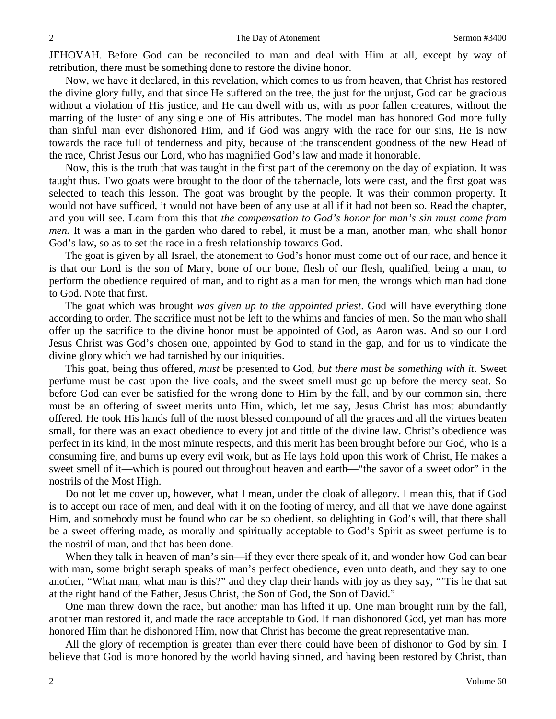JEHOVAH. Before God can be reconciled to man and deal with Him at all, except by way of retribution, there must be something done to restore the divine honor.

Now, we have it declared, in this revelation, which comes to us from heaven, that Christ has restored the divine glory fully, and that since He suffered on the tree, the just for the unjust, God can be gracious without a violation of His justice, and He can dwell with us, with us poor fallen creatures, without the marring of the luster of any single one of His attributes. The model man has honored God more fully than sinful man ever dishonored Him, and if God was angry with the race for our sins, He is now towards the race full of tenderness and pity, because of the transcendent goodness of the new Head of the race, Christ Jesus our Lord, who has magnified God's law and made it honorable.

Now, this is the truth that was taught in the first part of the ceremony on the day of expiation. It was taught thus. Two goats were brought to the door of the tabernacle, lots were cast, and the first goat was selected to teach this lesson. The goat was brought by the people. It was their common property. It would not have sufficed, it would not have been of any use at all if it had not been so. Read the chapter, and you will see. Learn from this that *the compensation to God's honor for man's sin must come from men.* It was a man in the garden who dared to rebel, it must be a man, another man, who shall honor God's law, so as to set the race in a fresh relationship towards God.

The goat is given by all Israel, the atonement to God's honor must come out of our race, and hence it is that our Lord is the son of Mary, bone of our bone, flesh of our flesh, qualified, being a man, to perform the obedience required of man, and to right as a man for men, the wrongs which man had done to God. Note that first.

The goat which was brought *was given up to the appointed priest*. God will have everything done according to order. The sacrifice must not be left to the whims and fancies of men. So the man who shall offer up the sacrifice to the divine honor must be appointed of God, as Aaron was. And so our Lord Jesus Christ was God's chosen one, appointed by God to stand in the gap, and for us to vindicate the divine glory which we had tarnished by our iniquities.

This goat, being thus offered, *must* be presented to God, *but there must be something with it*. Sweet perfume must be cast upon the live coals, and the sweet smell must go up before the mercy seat. So before God can ever be satisfied for the wrong done to Him by the fall, and by our common sin, there must be an offering of sweet merits unto Him, which, let me say, Jesus Christ has most abundantly offered. He took His hands full of the most blessed compound of all the graces and all the virtues beaten small, for there was an exact obedience to every jot and tittle of the divine law. Christ's obedience was perfect in its kind, in the most minute respects, and this merit has been brought before our God, who is a consuming fire, and burns up every evil work, but as He lays hold upon this work of Christ, He makes a sweet smell of it—which is poured out throughout heaven and earth—"the savor of a sweet odor" in the nostrils of the Most High.

Do not let me cover up, however, what I mean, under the cloak of allegory. I mean this, that if God is to accept our race of men, and deal with it on the footing of mercy, and all that we have done against Him, and somebody must be found who can be so obedient, so delighting in God's will, that there shall be a sweet offering made, as morally and spiritually acceptable to God's Spirit as sweet perfume is to the nostril of man, and that has been done.

When they talk in heaven of man's sin—if they ever there speak of it, and wonder how God can bear with man, some bright seraph speaks of man's perfect obedience, even unto death, and they say to one another, "What man, what man is this?" and they clap their hands with joy as they say, "'Tis he that sat at the right hand of the Father, Jesus Christ, the Son of God, the Son of David."

One man threw down the race, but another man has lifted it up. One man brought ruin by the fall, another man restored it, and made the race acceptable to God. If man dishonored God, yet man has more honored Him than he dishonored Him, now that Christ has become the great representative man.

All the glory of redemption is greater than ever there could have been of dishonor to God by sin. I believe that God is more honored by the world having sinned, and having been restored by Christ, than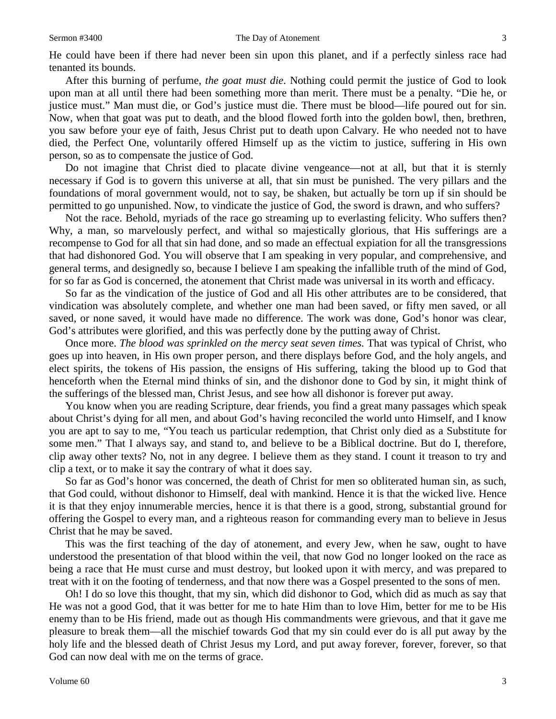He could have been if there had never been sin upon this planet, and if a perfectly sinless race had tenanted its bounds.

After this burning of perfume, *the goat must die*. Nothing could permit the justice of God to look upon man at all until there had been something more than merit. There must be a penalty. "Die he, or justice must." Man must die, or God's justice must die. There must be blood—life poured out for sin. Now, when that goat was put to death, and the blood flowed forth into the golden bowl, then, brethren, you saw before your eye of faith, Jesus Christ put to death upon Calvary. He who needed not to have died, the Perfect One, voluntarily offered Himself up as the victim to justice, suffering in His own person, so as to compensate the justice of God.

Do not imagine that Christ died to placate divine vengeance—not at all, but that it is sternly necessary if God is to govern this universe at all, that sin must be punished. The very pillars and the foundations of moral government would, not to say, be shaken, but actually be torn up if sin should be permitted to go unpunished. Now, to vindicate the justice of God, the sword is drawn, and who suffers?

Not the race. Behold, myriads of the race go streaming up to everlasting felicity. Who suffers then? Why, a man, so marvelously perfect, and withal so majestically glorious, that His sufferings are a recompense to God for all that sin had done, and so made an effectual expiation for all the transgressions that had dishonored God. You will observe that I am speaking in very popular, and comprehensive, and general terms, and designedly so, because I believe I am speaking the infallible truth of the mind of God, for so far as God is concerned, the atonement that Christ made was universal in its worth and efficacy.

So far as the vindication of the justice of God and all His other attributes are to be considered, that vindication was absolutely complete, and whether one man had been saved, or fifty men saved, or all saved, or none saved, it would have made no difference. The work was done, God's honor was clear, God's attributes were glorified, and this was perfectly done by the putting away of Christ.

Once more. *The blood was sprinkled on the mercy seat seven times.* That was typical of Christ, who goes up into heaven, in His own proper person, and there displays before God, and the holy angels, and elect spirits, the tokens of His passion, the ensigns of His suffering, taking the blood up to God that henceforth when the Eternal mind thinks of sin, and the dishonor done to God by sin, it might think of the sufferings of the blessed man, Christ Jesus, and see how all dishonor is forever put away.

You know when you are reading Scripture, dear friends, you find a great many passages which speak about Christ's dying for all men, and about God's having reconciled the world unto Himself, and I know you are apt to say to me, "You teach us particular redemption, that Christ only died as a Substitute for some men." That I always say, and stand to, and believe to be a Biblical doctrine. But do I, therefore, clip away other texts? No, not in any degree. I believe them as they stand. I count it treason to try and clip a text, or to make it say the contrary of what it does say.

So far as God's honor was concerned, the death of Christ for men so obliterated human sin, as such, that God could, without dishonor to Himself, deal with mankind. Hence it is that the wicked live. Hence it is that they enjoy innumerable mercies, hence it is that there is a good, strong, substantial ground for offering the Gospel to every man, and a righteous reason for commanding every man to believe in Jesus Christ that he may be saved.

This was the first teaching of the day of atonement, and every Jew, when he saw, ought to have understood the presentation of that blood within the veil, that now God no longer looked on the race as being a race that He must curse and must destroy, but looked upon it with mercy, and was prepared to treat with it on the footing of tenderness, and that now there was a Gospel presented to the sons of men.

Oh! I do so love this thought, that my sin, which did dishonor to God, which did as much as say that He was not a good God, that it was better for me to hate Him than to love Him, better for me to be His enemy than to be His friend, made out as though His commandments were grievous, and that it gave me pleasure to break them—all the mischief towards God that my sin could ever do is all put away by the holy life and the blessed death of Christ Jesus my Lord, and put away forever, forever, forever, so that God can now deal with me on the terms of grace.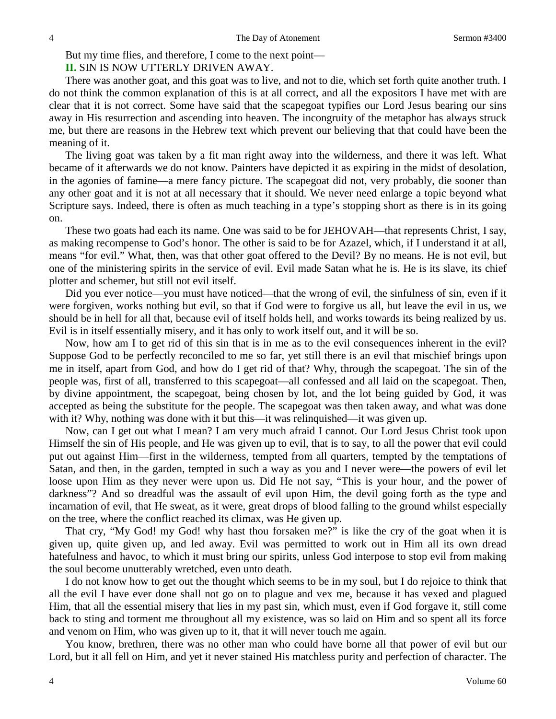But my time flies, and therefore, I come to the next point—

**II.** SIN IS NOW UTTERLY DRIVEN AWAY.

There was another goat, and this goat was to live, and not to die, which set forth quite another truth. I do not think the common explanation of this is at all correct, and all the expositors I have met with are clear that it is not correct. Some have said that the scapegoat typifies our Lord Jesus bearing our sins away in His resurrection and ascending into heaven. The incongruity of the metaphor has always struck me, but there are reasons in the Hebrew text which prevent our believing that that could have been the meaning of it.

The living goat was taken by a fit man right away into the wilderness, and there it was left. What became of it afterwards we do not know. Painters have depicted it as expiring in the midst of desolation, in the agonies of famine—a mere fancy picture. The scapegoat did not, very probably, die sooner than any other goat and it is not at all necessary that it should. We never need enlarge a topic beyond what Scripture says. Indeed, there is often as much teaching in a type's stopping short as there is in its going on.

These two goats had each its name. One was said to be for JEHOVAH—that represents Christ, I say, as making recompense to God's honor. The other is said to be for Azazel, which, if I understand it at all, means "for evil." What, then, was that other goat offered to the Devil? By no means. He is not evil, but one of the ministering spirits in the service of evil. Evil made Satan what he is. He is its slave, its chief plotter and schemer, but still not evil itself.

Did you ever notice—you must have noticed—that the wrong of evil, the sinfulness of sin, even if it were forgiven, works nothing but evil, so that if God were to forgive us all, but leave the evil in us, we should be in hell for all that, because evil of itself holds hell, and works towards its being realized by us. Evil is in itself essentially misery, and it has only to work itself out, and it will be so.

Now, how am I to get rid of this sin that is in me as to the evil consequences inherent in the evil? Suppose God to be perfectly reconciled to me so far, yet still there is an evil that mischief brings upon me in itself, apart from God, and how do I get rid of that? Why, through the scapegoat. The sin of the people was, first of all, transferred to this scapegoat—all confessed and all laid on the scapegoat. Then, by divine appointment, the scapegoat, being chosen by lot, and the lot being guided by God, it was accepted as being the substitute for the people. The scapegoat was then taken away, and what was done with it? Why, nothing was done with it but this—it was relinquished—it was given up.

Now, can I get out what I mean? I am very much afraid I cannot. Our Lord Jesus Christ took upon Himself the sin of His people, and He was given up to evil, that is to say, to all the power that evil could put out against Him—first in the wilderness, tempted from all quarters, tempted by the temptations of Satan, and then, in the garden, tempted in such a way as you and I never were—the powers of evil let loose upon Him as they never were upon us. Did He not say, "This is your hour, and the power of darkness"? And so dreadful was the assault of evil upon Him, the devil going forth as the type and incarnation of evil, that He sweat, as it were, great drops of blood falling to the ground whilst especially on the tree, where the conflict reached its climax, was He given up.

That cry, "My God! my God! why hast thou forsaken me?" is like the cry of the goat when it is given up, quite given up, and led away. Evil was permitted to work out in Him all its own dread hatefulness and havoc, to which it must bring our spirits, unless God interpose to stop evil from making the soul become unutterably wretched, even unto death.

I do not know how to get out the thought which seems to be in my soul, but I do rejoice to think that all the evil I have ever done shall not go on to plague and vex me, because it has vexed and plagued Him, that all the essential misery that lies in my past sin, which must, even if God forgave it, still come back to sting and torment me throughout all my existence, was so laid on Him and so spent all its force and venom on Him, who was given up to it, that it will never touch me again.

You know, brethren, there was no other man who could have borne all that power of evil but our Lord, but it all fell on Him, and yet it never stained His matchless purity and perfection of character. The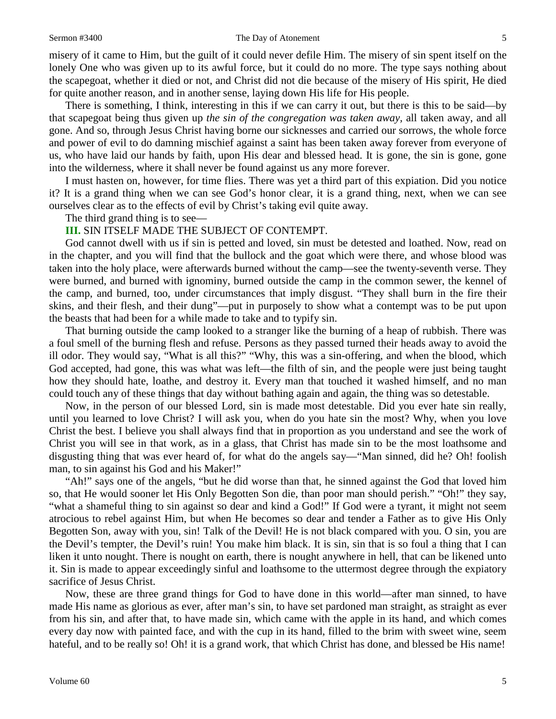#### Sermon #3400 The Day of Atonement 5

misery of it came to Him, but the guilt of it could never defile Him. The misery of sin spent itself on the lonely One who was given up to its awful force, but it could do no more. The type says nothing about the scapegoat, whether it died or not, and Christ did not die because of the misery of His spirit, He died for quite another reason, and in another sense, laying down His life for His people.

There is something, I think, interesting in this if we can carry it out, but there is this to be said—by that scapegoat being thus given up *the sin of the congregation was taken away,* all taken away, and all gone. And so, through Jesus Christ having borne our sicknesses and carried our sorrows, the whole force and power of evil to do damning mischief against a saint has been taken away forever from everyone of us, who have laid our hands by faith, upon His dear and blessed head. It is gone, the sin is gone, gone into the wilderness, where it shall never be found against us any more forever.

I must hasten on, however, for time flies. There was yet a third part of this expiation. Did you notice it? It is a grand thing when we can see God's honor clear, it is a grand thing, next, when we can see ourselves clear as to the effects of evil by Christ's taking evil quite away.

The third grand thing is to see—

#### **III.** SIN ITSELF MADE THE SUBJECT OF CONTEMPT.

God cannot dwell with us if sin is petted and loved, sin must be detested and loathed. Now, read on in the chapter, and you will find that the bullock and the goat which were there, and whose blood was taken into the holy place, were afterwards burned without the camp—see the twenty-seventh verse. They were burned, and burned with ignominy, burned outside the camp in the common sewer, the kennel of the camp, and burned, too, under circumstances that imply disgust. "They shall burn in the fire their skins, and their flesh, and their dung"—put in purposely to show what a contempt was to be put upon the beasts that had been for a while made to take and to typify sin.

That burning outside the camp looked to a stranger like the burning of a heap of rubbish. There was a foul smell of the burning flesh and refuse. Persons as they passed turned their heads away to avoid the ill odor. They would say, "What is all this?" "Why, this was a sin-offering, and when the blood, which God accepted, had gone, this was what was left—the filth of sin, and the people were just being taught how they should hate, loathe, and destroy it. Every man that touched it washed himself, and no man could touch any of these things that day without bathing again and again, the thing was so detestable.

Now, in the person of our blessed Lord, sin is made most detestable. Did you ever hate sin really, until you learned to love Christ? I will ask you, when do you hate sin the most? Why, when you love Christ the best. I believe you shall always find that in proportion as you understand and see the work of Christ you will see in that work, as in a glass, that Christ has made sin to be the most loathsome and disgusting thing that was ever heard of, for what do the angels say—"Man sinned, did he? Oh! foolish man, to sin against his God and his Maker!"

"Ah!" says one of the angels, "but he did worse than that, he sinned against the God that loved him so, that He would sooner let His Only Begotten Son die, than poor man should perish." "Oh!" they say, "what a shameful thing to sin against so dear and kind a God!" If God were a tyrant, it might not seem atrocious to rebel against Him, but when He becomes so dear and tender a Father as to give His Only Begotten Son, away with you, sin! Talk of the Devil! He is not black compared with you. O sin, you are the Devil's tempter, the Devil's ruin! You make him black. It is sin, sin that is so foul a thing that I can liken it unto nought. There is nought on earth, there is nought anywhere in hell, that can be likened unto it. Sin is made to appear exceedingly sinful and loathsome to the uttermost degree through the expiatory sacrifice of Jesus Christ.

Now, these are three grand things for God to have done in this world—after man sinned, to have made His name as glorious as ever, after man's sin, to have set pardoned man straight, as straight as ever from his sin, and after that, to have made sin, which came with the apple in its hand, and which comes every day now with painted face, and with the cup in its hand, filled to the brim with sweet wine, seem hateful, and to be really so! Oh! it is a grand work, that which Christ has done, and blessed be His name!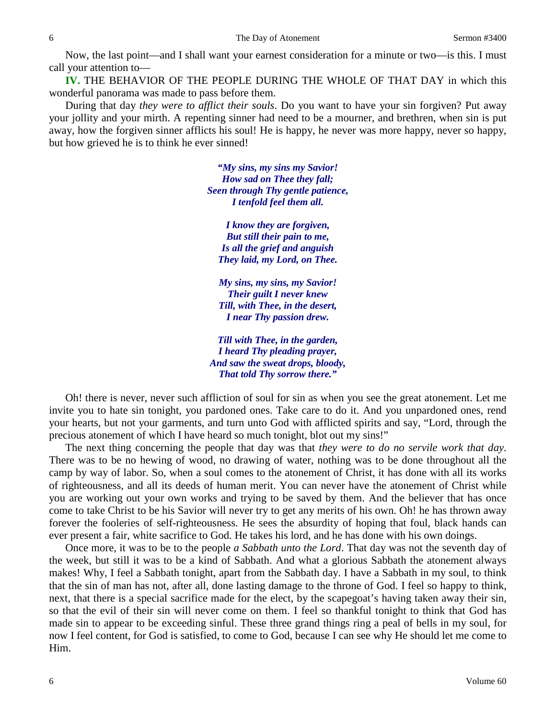Now, the last point—and I shall want your earnest consideration for a minute or two—is this. I must call your attention to—

**IV.** THE BEHAVIOR OF THE PEOPLE DURING THE WHOLE OF THAT DAY in which this wonderful panorama was made to pass before them.

During that day *they were to afflict their souls*. Do you want to have your sin forgiven? Put away your jollity and your mirth. A repenting sinner had need to be a mourner, and brethren, when sin is put away, how the forgiven sinner afflicts his soul! He is happy, he never was more happy, never so happy, but how grieved he is to think he ever sinned!

> *"My sins, my sins my Savior! How sad on Thee they fall; Seen through Thy gentle patience, I tenfold feel them all.*

*I know they are forgiven, But still their pain to me, Is all the grief and anguish They laid, my Lord, on Thee.*

*My sins, my sins, my Savior! Their guilt I never knew Till, with Thee, in the desert, I near Thy passion drew.*

*Till with Thee, in the garden, I heard Thy pleading prayer, And saw the sweat drops, bloody, That told Thy sorrow there."*

Oh! there is never, never such affliction of soul for sin as when you see the great atonement. Let me invite you to hate sin tonight, you pardoned ones. Take care to do it. And you unpardoned ones, rend your hearts, but not your garments, and turn unto God with afflicted spirits and say, "Lord, through the precious atonement of which I have heard so much tonight, blot out my sins!"

The next thing concerning the people that day was that *they were to do no servile work that day*. There was to be no hewing of wood, no drawing of water, nothing was to be done throughout all the camp by way of labor. So, when a soul comes to the atonement of Christ, it has done with all its works of righteousness, and all its deeds of human merit. You can never have the atonement of Christ while you are working out your own works and trying to be saved by them. And the believer that has once come to take Christ to be his Savior will never try to get any merits of his own. Oh! he has thrown away forever the fooleries of self-righteousness. He sees the absurdity of hoping that foul, black hands can ever present a fair, white sacrifice to God. He takes his lord, and he has done with his own doings.

Once more, it was to be to the people *a Sabbath unto the Lord*. That day was not the seventh day of the week, but still it was to be a kind of Sabbath. And what a glorious Sabbath the atonement always makes! Why, I feel a Sabbath tonight, apart from the Sabbath day. I have a Sabbath in my soul, to think that the sin of man has not, after all, done lasting damage to the throne of God. I feel so happy to think, next, that there is a special sacrifice made for the elect, by the scapegoat's having taken away their sin, so that the evil of their sin will never come on them. I feel so thankful tonight to think that God has made sin to appear to be exceeding sinful. These three grand things ring a peal of bells in my soul, for now I feel content, for God is satisfied, to come to God, because I can see why He should let me come to Him.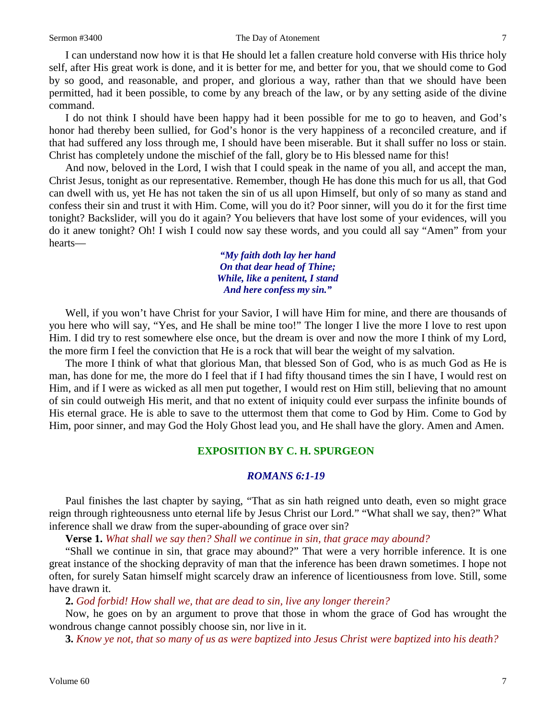#### Sermon #3400 The Day of Atonement 7

I can understand now how it is that He should let a fallen creature hold converse with His thrice holy self, after His great work is done, and it is better for me, and better for you, that we should come to God by so good, and reasonable, and proper, and glorious a way, rather than that we should have been permitted, had it been possible, to come by any breach of the law, or by any setting aside of the divine command.

I do not think I should have been happy had it been possible for me to go to heaven, and God's honor had thereby been sullied, for God's honor is the very happiness of a reconciled creature, and if that had suffered any loss through me, I should have been miserable. But it shall suffer no loss or stain. Christ has completely undone the mischief of the fall, glory be to His blessed name for this!

And now, beloved in the Lord, I wish that I could speak in the name of you all, and accept the man, Christ Jesus, tonight as our representative. Remember, though He has done this much for us all, that God can dwell with us, yet He has not taken the sin of us all upon Himself, but only of so many as stand and confess their sin and trust it with Him. Come, will you do it? Poor sinner, will you do it for the first time tonight? Backslider, will you do it again? You believers that have lost some of your evidences, will you do it anew tonight? Oh! I wish I could now say these words, and you could all say "Amen" from your hearts—

> *"My faith doth lay her hand On that dear head of Thine; While, like a penitent, I stand And here confess my sin."*

Well, if you won't have Christ for your Savior, I will have Him for mine, and there are thousands of you here who will say, "Yes, and He shall be mine too!" The longer I live the more I love to rest upon Him. I did try to rest somewhere else once, but the dream is over and now the more I think of my Lord, the more firm I feel the conviction that He is a rock that will bear the weight of my salvation.

The more I think of what that glorious Man, that blessed Son of God, who is as much God as He is man, has done for me, the more do I feel that if I had fifty thousand times the sin I have, I would rest on Him, and if I were as wicked as all men put together, I would rest on Him still, believing that no amount of sin could outweigh His merit, and that no extent of iniquity could ever surpass the infinite bounds of His eternal grace. He is able to save to the uttermost them that come to God by Him. Come to God by Him, poor sinner, and may God the Holy Ghost lead you, and He shall have the glory. Amen and Amen.

## **EXPOSITION BY C. H. SPURGEON**

## *ROMANS 6:1-19*

Paul finishes the last chapter by saying, "That as sin hath reigned unto death, even so might grace reign through righteousness unto eternal life by Jesus Christ our Lord." "What shall we say, then?" What inference shall we draw from the super-abounding of grace over sin?

**Verse 1.** *What shall we say then? Shall we continue in sin, that grace may abound?*

"Shall we continue in sin, that grace may abound?" That were a very horrible inference. It is one great instance of the shocking depravity of man that the inference has been drawn sometimes. I hope not often, for surely Satan himself might scarcely draw an inference of licentiousness from love. Still, some have drawn it.

**2.** *God forbid! How shall we, that are dead to sin, live any longer therein?*

Now, he goes on by an argument to prove that those in whom the grace of God has wrought the wondrous change cannot possibly choose sin, nor live in it.

**3.** *Know ye not, that so many of us as were baptized into Jesus Christ were baptized into his death?*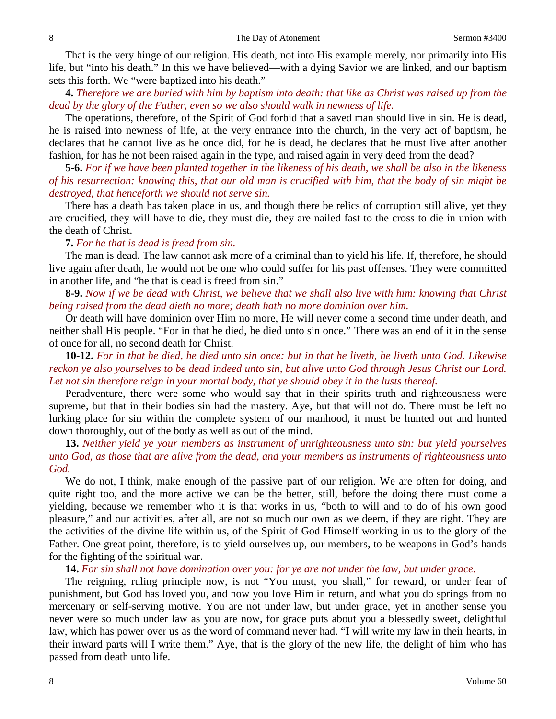That is the very hinge of our religion. His death, not into His example merely, nor primarily into His life, but "into his death." In this we have believed—with a dying Savior we are linked, and our baptism sets this forth. We "were baptized into his death."

**4.** *Therefore we are buried with him by baptism into death: that like as Christ was raised up from the dead by the glory of the Father, even so we also should walk in newness of life.*

The operations, therefore, of the Spirit of God forbid that a saved man should live in sin. He is dead, he is raised into newness of life, at the very entrance into the church, in the very act of baptism, he declares that he cannot live as he once did, for he is dead, he declares that he must live after another fashion, for has he not been raised again in the type, and raised again in very deed from the dead?

**5-6.** *For if we have been planted together in the likeness of his death, we shall be also in the likeness of his resurrection: knowing this, that our old man is crucified with him, that the body of sin might be destroyed, that henceforth we should not serve sin.*

There has a death has taken place in us, and though there be relics of corruption still alive, yet they are crucified, they will have to die, they must die, they are nailed fast to the cross to die in union with the death of Christ.

#### **7.** *For he that is dead is freed from sin.*

The man is dead. The law cannot ask more of a criminal than to yield his life. If, therefore, he should live again after death, he would not be one who could suffer for his past offenses. They were committed in another life, and "he that is dead is freed from sin."

**8-9.** *Now if we be dead with Christ, we believe that we shall also live with him: knowing that Christ being raised from the dead dieth no more; death hath no more dominion over him.*

Or death will have dominion over Him no more, He will never come a second time under death, and neither shall His people. "For in that he died, he died unto sin once." There was an end of it in the sense of once for all, no second death for Christ.

**10-12.** *For in that he died, he died unto sin once: but in that he liveth, he liveth unto God. Likewise reckon ye also yourselves to be dead indeed unto sin, but alive unto God through Jesus Christ our Lord. Let not sin therefore reign in your mortal body, that ye should obey it in the lusts thereof.*

Peradventure, there were some who would say that in their spirits truth and righteousness were supreme, but that in their bodies sin had the mastery. Aye, but that will not do. There must be left no lurking place for sin within the complete system of our manhood, it must be hunted out and hunted down thoroughly, out of the body as well as out of the mind.

**13.** *Neither yield ye your members as instrument of unrighteousness unto sin: but yield yourselves unto God, as those that are alive from the dead, and your members as instruments of righteousness unto God.*

We do not, I think, make enough of the passive part of our religion. We are often for doing, and quite right too, and the more active we can be the better, still, before the doing there must come a yielding, because we remember who it is that works in us, "both to will and to do of his own good pleasure," and our activities, after all, are not so much our own as we deem, if they are right. They are the activities of the divine life within us, of the Spirit of God Himself working in us to the glory of the Father. One great point, therefore, is to yield ourselves up, our members, to be weapons in God's hands for the fighting of the spiritual war.

**14.** *For sin shall not have domination over you: for ye are not under the law, but under grace.*

The reigning, ruling principle now, is not "You must, you shall," for reward, or under fear of punishment, but God has loved you, and now you love Him in return, and what you do springs from no mercenary or self-serving motive. You are not under law, but under grace, yet in another sense you never were so much under law as you are now, for grace puts about you a blessedly sweet, delightful law, which has power over us as the word of command never had. "I will write my law in their hearts, in their inward parts will I write them." Aye, that is the glory of the new life, the delight of him who has passed from death unto life.